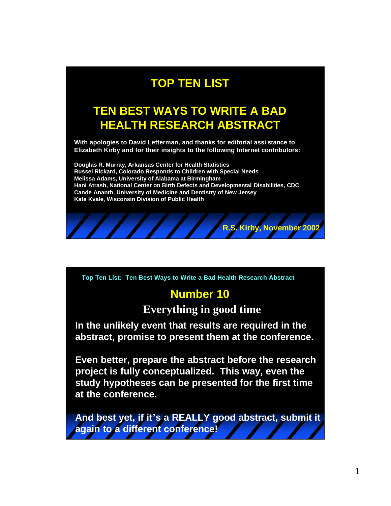# **TOP TEN LIST**

## **TEN BEST WAYS TO WRITE A BAD HEALTH RESEARCH ABSTRACT**

**With apologies to David Letterman, and thanks for editorial assi stance to Elizabeth Kirby and for their insights to the following Internet contributors:** 

**Douglas R. Murray, Arkansas Center for Health Statistics Russel Rickard, Colorado Responds to Children with Special Needs Melissa Adams, University of Alabama at Birmingham Hani Atrash, National Center on Birth Defects and Developmental Disabilities, CDC Cande Ananth, University of Medicine and Dentistry of New Jersey Kate Kvale, Wisconsin Division of Public Health**



**Top Ten List: Ten Best Ways to Write a Bad Health Research Abstract**

### **Number 10**

**Everything in good time**

**In the unlikely event that results are required in the abstract, promise to present them at the conference.** 

**Even better, prepare the abstract before the research project is fully conceptualized. This way, even the study hypotheses can be presented for the first time at the conference.**

**And best yet, if it's a REALLY good abstract, submit it again to a different conference!**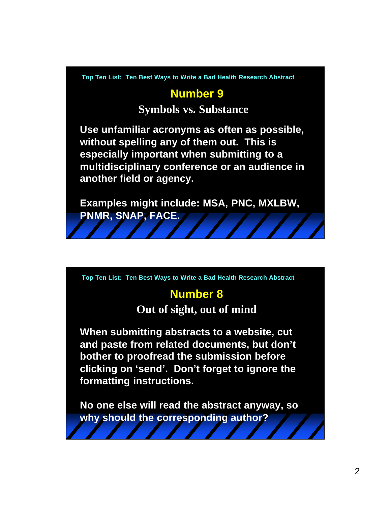### **Number 9**

#### **Symbols vs. Substance**

**Use unfamiliar acronyms as often as possible, without spelling any of them out. This is especially important when submitting to a multidisciplinary conference or an audience in another field or agency.**

**Examples might include: MSA, PNC, MXLBW, PNMR, SNAP, FACE.** 

**Top Ten List: Ten Best Ways to Write a Bad Health Research Abstract**

#### **Number 8**

**Out of sight, out of mind**

**When submitting abstracts to a website, cut and paste from related documents, but don't bother to proofread the submission before clicking on 'send'. Don't forget to ignore the formatting instructions.**

**No one else will read the abstract anyway, so why should the corresponding author?**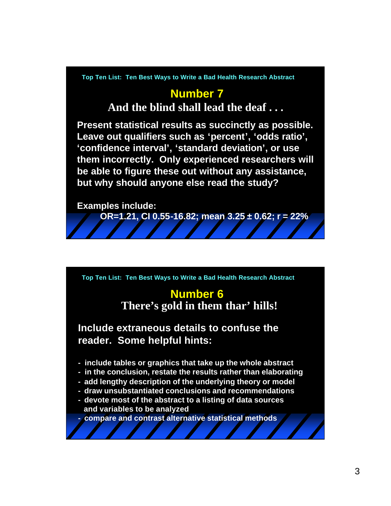#### **Number 7**

**And the blind shall lead the deaf . . .**

**Present statistical results as succinctly as possible. Leave out qualifiers such as 'percent', 'odds ratio', 'confidence interval', 'standard deviation', or use them incorrectly. Only experienced researchers will be able to figure these out without any assistance, but why should anyone else read the study?**

**Examples include:** 

**OR=1.21, CI 0.55-16.82; mean 3.25 ± 0.62; r = 22%**

**Top Ten List: Ten Best Ways to Write a Bad Health Research Abstract**

#### **Number 6 There's gold in them thar' hills!**

**Include extraneous details to confuse the reader. Some helpful hints:**

- **- include tables or graphics that take up the whole abstract**
- **- in the conclusion, restate the results rather than elaborating**
- **- add lengthy description of the underlying theory or model**
- **- draw unsubstantiated conclusions and recommendations**
- **- devote most of the abstract to a listing of data sources and variables to be analyzed**

**- compare and contrast alternative statistical methods**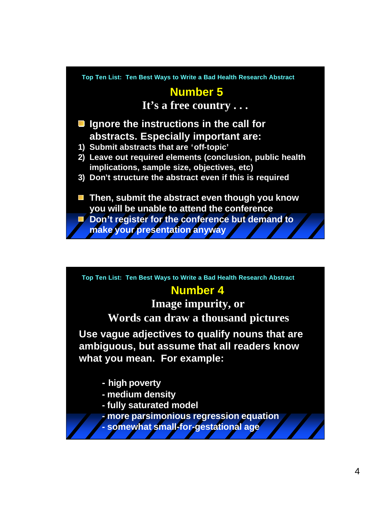# **Number 5**

**It's a free country . . .**

- Ignore the instructions in the call for **abstracts. Especially important are:**
- **1) Submit abstracts that are 'off-topic'**
- **2) Leave out required elements (conclusion, public health implications, sample size, objectives, etc)**
- **3) Don't structure the abstract even if this is required**
- Then, submit the abstract even though you know **you will be unable to attend the conference**
- **Don't register for the conference but demand to make your presentation anyway**

**Top Ten List: Ten Best Ways to Write a Bad Health Research Abstract**

#### **Number 4**

**Image impurity, or Words can draw a thousand pictures**

**Use vague adjectives to qualify nouns that are ambiguous, but assume that all readers know what you mean. For example:**

- **- high poverty**
- **- medium density**
- **- fully saturated model**
- **- more parsimonious regression equation**
- **- somewhat small-for-gestational age**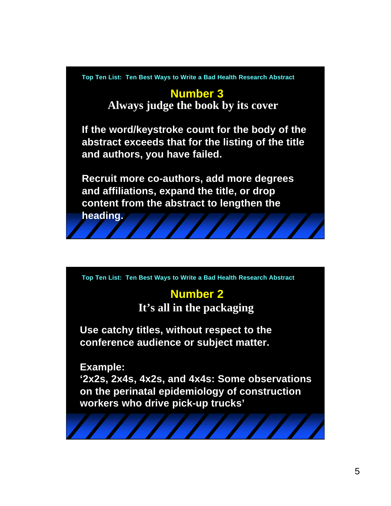### **Number 3 Always judge the book by its cover**

**If the word/keystroke count for the body of the abstract exceeds that for the listing of the title and authors, you have failed.** 

**Recruit more co-authors, add more degrees and affiliations, expand the title, or drop content from the abstract to lengthen the** 

**heading.**

**Top Ten List: Ten Best Ways to Write a Bad Health Research Abstract**

## **Number 2**

**It's all in the packaging**

**Use catchy titles, without respect to the conference audience or subject matter.**

**Example:**

**'2x2s, 2x4s, 4x2s, and 4x4s: Some observations on the perinatal epidemiology of construction workers who drive pick-up trucks'**